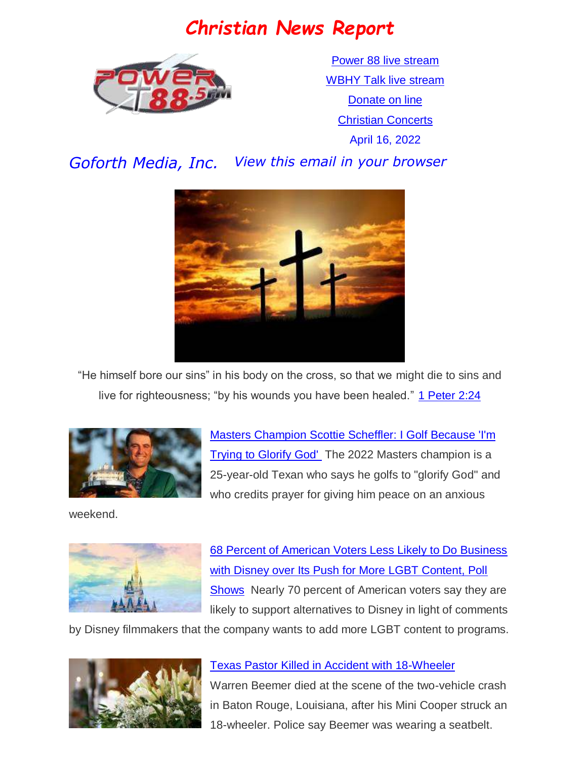## *Christian News Report*



[Power 88 live stream](https://us7.maindigitalstream.com/2920/index.php) [WBHY Talk live stream](http://148.72.155.47:8573/Ahxed5k) [Donate on line](https://forms.ministryforms.net/viewForm.aspx?formId=018b4ff7-2c2f-4f0e-8ef2-689f9601b826) **[Christian Concerts](https://www.goforth.org/Concerts)** April 16, 2022

*Goforth Media, Inc. View this email in your browser*



"He himself bore our sins" in his body on the cross, so that we might die to sins and live for righteousness; "by his wounds you have been healed." [1 Peter 2:24](https://www.biblegateway.com/passage/?search=1%20Peter%202:24&version=niv)



[Masters Champion Scottie Scheffler: I Golf Because 'I'm](https://www.christianheadlines.com/contributors/michael-foust/masters-champion-scottie-scheffler-i-golf-because-im-trying-to-glorify-god.html)  [Trying to Glorify God'](https://www.christianheadlines.com/contributors/michael-foust/masters-champion-scottie-scheffler-i-golf-because-im-trying-to-glorify-god.html) The 2022 Masters champion is a 25-year-old Texan who says he golfs to "glorify God" and who credits prayer for giving him peace on an anxious

weekend.



[68 Percent of American Voters Less Likely to Do Business](https://www.christianheadlines.com/contributors/michael-foust/68-percent-of-american-voters-less-likely-to-do-business-with-disney-over-push-for-more-lgbt-content-poll-shows.html)  [with Disney over Its Push for More LGBT Content, Poll](https://www.christianheadlines.com/contributors/michael-foust/68-percent-of-american-voters-less-likely-to-do-business-with-disney-over-push-for-more-lgbt-content-poll-shows.html)  [Shows](https://www.christianheadlines.com/contributors/michael-foust/68-percent-of-american-voters-less-likely-to-do-business-with-disney-over-push-for-more-lgbt-content-poll-shows.html) Nearly 70 percent of American voters say they are likely to support alternatives to Disney in light of comments

by Disney filmmakers that the company wants to add more LGBT content to programs.



#### [Texas Pastor Killed in Accident with 18-Wheeler](https://www.christianheadlines.com/blog/texas-pastor-killed-in-accident-with-18-wheeler-he-was-a-true-man-of-god.html)

Warren Beemer died at the scene of the two-vehicle crash in Baton Rouge, Louisiana, after his Mini Cooper struck an 18-wheeler. Police say Beemer was wearing a seatbelt.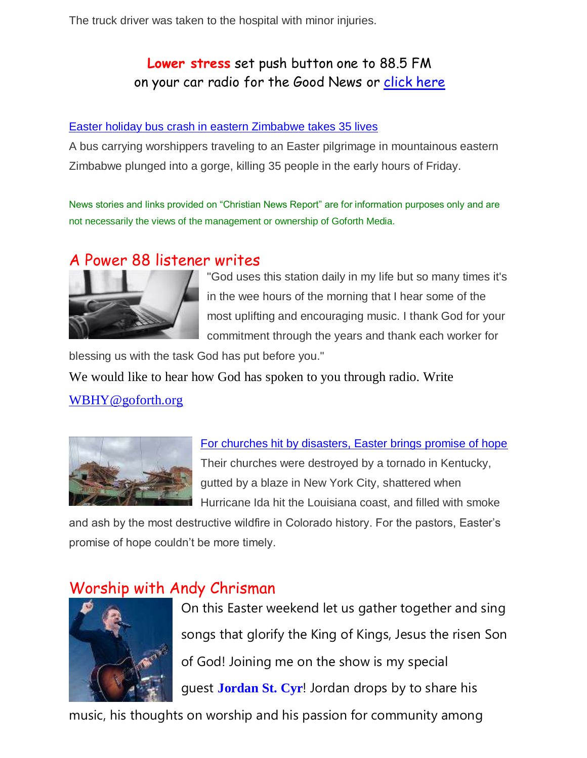The truck driver was taken to the hospital with minor injuries.

## **Lower stress** set push button one to 88.5 FM on your car radio for the Good News or [click here](https://us7.maindigitalstream.com/2920/)

#### [Easter holiday bus crash in eastern Zimbabwe takes 35 lives](https://www.srnnews.com/easter-holiday-bus-crash-in-eastern-zimbabwe-takes-35-lives/)

A bus carrying worshippers traveling to an Easter pilgrimage in mountainous eastern Zimbabwe plunged into a gorge, killing 35 people in the early hours of Friday.

News stories and links provided on "Christian News Report" are for information purposes only and are not necessarily the views of the management or ownership of Goforth Media.

### A Power 88 listener writes



"God uses this station daily in my life but so many times it's in the wee hours of the morning that I hear some of the most uplifting and encouraging music. I thank God for your commitment through the years and thank each worker for

blessing us with the task God has put before you."

We would like to hear how God has spoken to you through radio. Write

#### [WBHY@goforth.org](mailto:WBHY@goforth.org)



[For churches hit by disasters, Easter brings promise of hope](https://www.srnnews.com/for-churches-hit-by-disasters-easter-brings-promise-of-hope/)  Their churches were destroyed by a tornado in Kentucky, gutted by a blaze in New York City, shattered when Hurricane Ida hit the Louisiana coast, and filled with smoke

and ash by the most destructive wildfire in Colorado history. For the pastors, Easter's promise of hope couldn't be more timely.

## Worship with Andy Chrisman



On this Easter weekend let us gather together and sing songs that glorify the King of Kings, Jesus the risen Son of God! Joining me on the show is my special guest **[Jordan](https://www.facebook.com/jordanstcyrmusic/?__cft__%5b0%5d=AZV4aSyV7b7FBPx64DY0Y-z8NCm4HQEnYm65GpQvy1dRZmMvdIuzjcpfF9pTDEf1KmIz2rdkwAtH90OWwpn8ZKPffUEmz67Ww4FEXYpFBTaVjtexond9NGYUmUGBpLempa64Jmxkpos4MPjF8ip91Pw0AUQsaI-4CoRYv3yEw9ulxByBpApgcItPleRh3T_ATUk&__tn__=kK*F) St. Cyr**! Jordan drops by to share his

music, his thoughts on worship and his passion for community among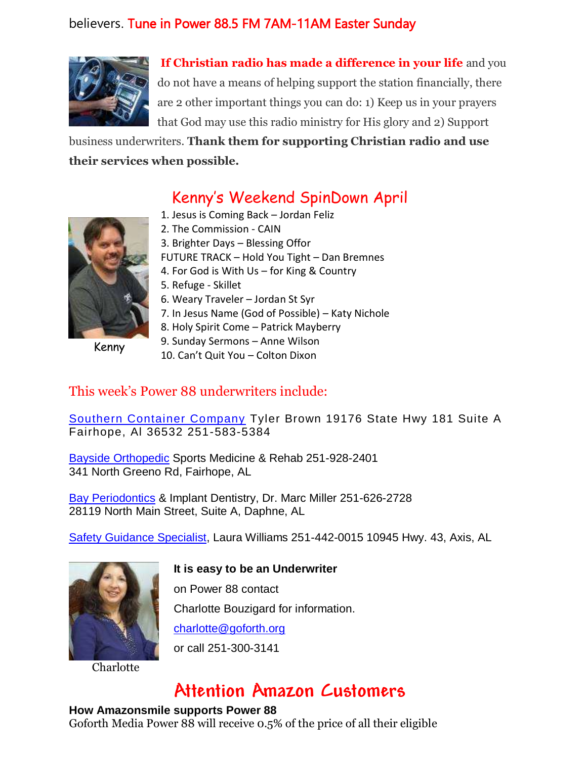### believers. Tune in Power 88.5 FM 7AM-11AM Easter Sunday



**If Christian radio has made a difference in your life** and you do not have a means of helping support the station financially, there are 2 other important things you can do: 1) Keep us in your prayers that God may use this radio ministry for His glory and 2) Support

business underwriters. **Thank them for supporting Christian radio and use their services when possible.**

## Kenny's Weekend SpinDown April

Kenny

- 1. Jesus is Coming Back Jordan Feliz
- 2. The Commission CAIN
- 3. Brighter Days Blessing Offor
- FUTURE TRACK Hold You Tight Dan Bremnes
- 4. For God is With Us for King & Country
- 5. Refuge Skillet
- 6. Weary Traveler Jordan St Syr
- 7. In Jesus Name (God of Possible) Katy Nichole
	- 8. Holy Spirit Come Patrick Mayberry
	- 9. Sunday Sermons Anne Wilson
- 10. Can't Quit You Colton Dixon

#### This week's Power 88 underwriters include:

[Southern Container Company](https://www.southerncontainercompany.com/) Tyler Brown 19176 State Hwy 181 Suite A Fairhope, Al 36532 251-583-5384

[Bayside Orthopedic](http://www.baysideortho.com/) Sports Medicine & Rehab 251-928-2401 341 North Greeno Rd, Fairhope, AL

[Bay Periodontics](http://www.bayperiodontics.com/) & Implant Dentistry, Dr. Marc Miller 251-626-2728 28119 North Main Street, Suite A, Daphne, AL

[Safety Guidance Specialist,](https://www.safetyguidancespecialist.com/) Laura Williams 251-442-0015 10945 Hwy. 43, Axis, AL



**Charlotte** 

#### **It is easy to be an Underwriter**

on Power 88 contact Charlotte Bouzigard for information. [charlotte@goforth.org](mailto:charlotte@goforth.org)

or call 251-300-3141

## **Attention Amazon Customers**

#### **How Amazonsmile supports Power 88**

Goforth Media Power 88 will receive 0.5% of the price of all their eligible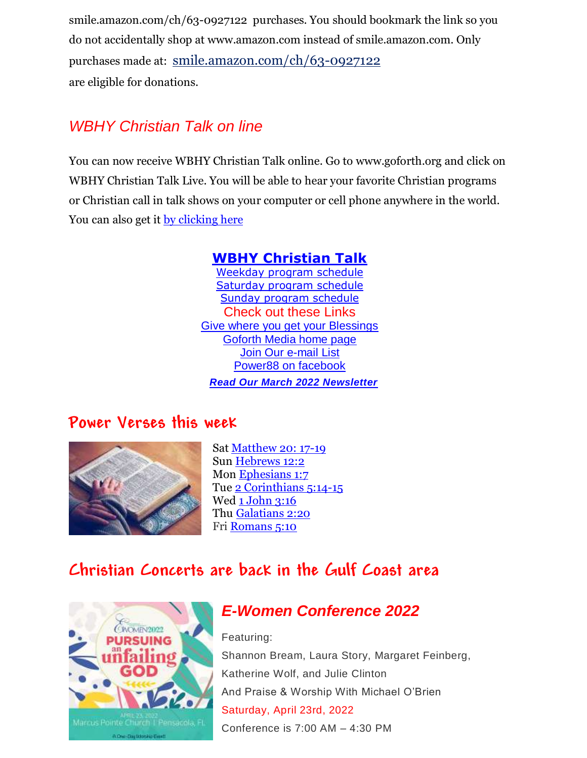[smile.amazon.com/ch/63-0927122](https://www.amazon.com/gp/r.html?C=2AU9G2CMQ9IQM&R=1QK2JMJNP3GH7&T=C&U=http%3A%2F%2Fsmile.amazon.com%2Fch%2F63-0927122&A=BCZPEIHVLV99IVSUOLG1YPFXTGWA&H=XVLELAMUAST3PRIK4CW2E8JRKTCA) purchases. You should bookmark the link so you do not accidentally shop at www.amazon.com instead of smile.amazon.com. Only purchases made at: [smile.amazon.com/ch/63-0927122](https://www.amazon.com/gp/r.html?C=2AU9G2CMQ9IQM&R=1QK2JMJNP3GH7&T=C&U=http%3A%2F%2Fsmile.amazon.com%2Fch%2F63-0927122&A=BCZPEIHVLV99IVSUOLG1YPFXTGWA&H=XVLELAMUAST3PRIK4CW2E8JRKTCA) are eligible for donations.

## *WBHY Christian Talk on line*

You can now receive WBHY Christian Talk online. Go to [www.goforth.org](http://www.goforth.org/) and click on WBHY Christian Talk Live. You will be able to hear your favorite Christian programs or Christian call in talk shows on your computer or cell phone anywhere in the world. You can also get it <u>by clicking here</u>

### **[WBHY Christian Talk](http://148.72.155.47:8573/Ahxed5k)**

[Weekday program schedule](https://goforth.schoolinsites.com/dailyprogramschedule) [Saturday program schedule](https://goforth.schoolinsites.com/saturdayprogramschedule) [Sunday program schedule](https://goforth.schoolinsites.com/sundayprogramschedule) Check out these Links [Give where you get your Blessings](https://forms.ministryforms.net/viewForm.aspx?formId=018b4ff7-2c2f-4f0e-8ef2-689f9601b826) [Goforth Media home page](http://www.goforth.org/) [Join Our e-mail List](http://user.goforth.org/mail-form/mail_form.htm) [Power88 on facebook](http://www.facebook.com/Power88fm) *Read Our March 2022 Newsletter* 

## **Power Verses this week**



Sat [Matthew 20: 17-19](https://www.biblegateway.com/passage/?search=Matthew%2020:%2017-19&version=niv) Sun [Hebrews 12:2](https://www.biblegateway.com/passage/?search=Hebrews%2012:2&version=niv) Mon [Ephesians 1:7](https://www.biblegateway.com/passage/?search=Ephesians%201:7&version=niv) Tue [2 Corinthians 5:14-15](https://www.biblegateway.com/passage/?search=2%20Corinthians%205:14-15&version=niv) Wed [1 John 3:16](https://www.biblegateway.com/passage/?search=1%20John%203:16&version=niv) Thu [Galatians 2:20](https://www.biblegateway.com/passage/?search=Galatians%202:20&version=niv) Fri [Romans 5:10](https://www.biblegateway.com/passage/?search=Romans%205:10&version=niv)

## **Christian Concerts are back in the [Gulf Coast](https://goforth.schoolinsites.com/Concerts) area**



## *E-Women Conference 2022*  Featuring:

Shannon Bream, Laura Story, Margaret Feinberg, Katherine Wolf, and Julie Clinton And Praise & Worship With Michael O'Brien Saturday, April 23rd, 2022 Conference is 7:00 AM – 4:30 PM